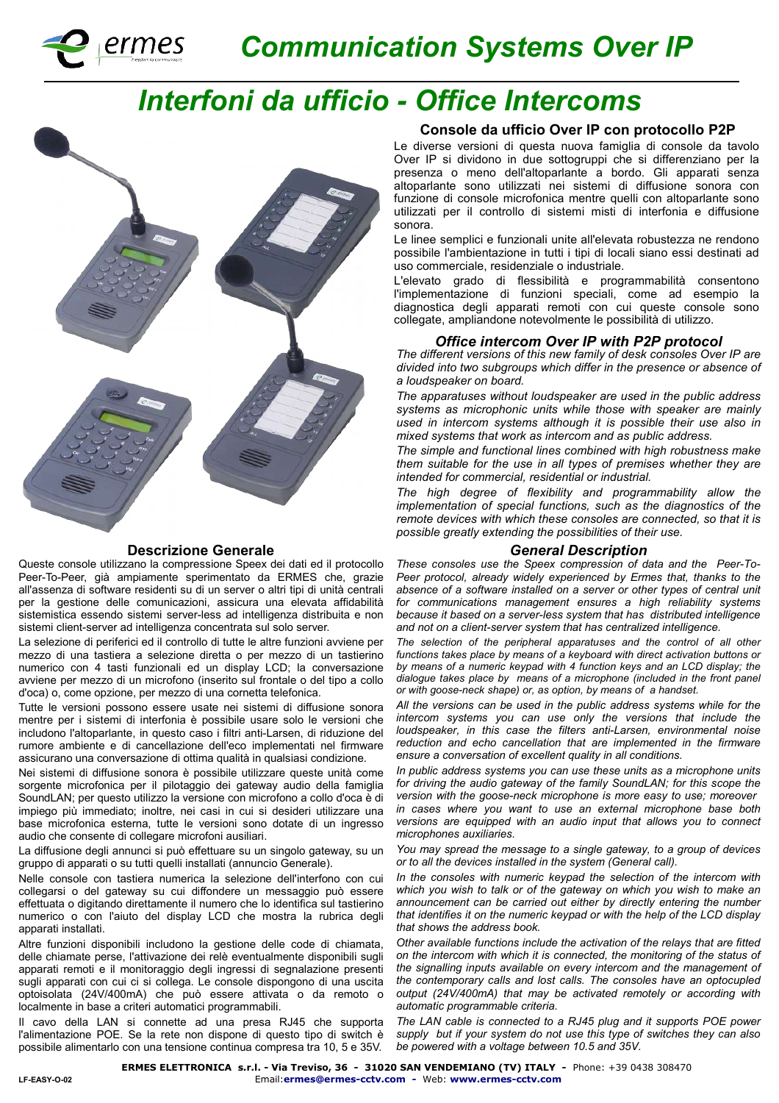

# *Communication Systems Over IP*

# *Interfoni da ufficio - Office Intercoms*



#### **Descrizione Generale**

Queste console utilizzano la compressione Speex dei dati ed il protocollo Peer-To-Peer, già ampiamente sperimentato da ERMES che, grazie all'assenza di software residenti su di un server o altri tipi di unità centrali per la gestione delle comunicazioni, assicura una elevata affidabilità sistemistica essendo sistemi server-less ad intelligenza distribuita e non sistemi client-server ad intelligenza concentrata sul solo server.

La selezione di periferici ed il controllo di tutte le altre funzioni avviene per mezzo di una tastiera a selezione diretta o per mezzo di un tastierino numerico con 4 tasti funzionali ed un display LCD; la conversazione avviene per mezzo di un microfono (inserito sul frontale o del tipo a collo d'oca) o, come opzione, per mezzo di una cornetta telefonica.

Tutte le versioni possono essere usate nei sistemi di diffusione sonora mentre per i sistemi di interfonia è possibile usare solo le versioni che includono l'altoparlante, in questo caso i filtri anti-Larsen, di riduzione del rumore ambiente e di cancellazione dell'eco implementati nel firmware assicurano una conversazione di ottima qualità in qualsiasi condizione.

Nei sistemi di diffusione sonora è possibile utilizzare queste unità come sorgente microfonica per il pilotaggio dei gateway audio della famiglia SoundLAN; per questo utilizzo la versione con microfono a collo d'oca è di impiego più immediato; inoltre, nei casi in cui si desideri utilizzare una base microfonica esterna, tutte le versioni sono dotate di un ingresso audio che consente di collegare microfoni ausiliari.

La diffusione degli annunci si può effettuare su un singolo gateway, su un gruppo di apparati o su tutti quelli installati (annuncio Generale).

Nelle console con tastiera numerica la selezione dell'interfono con cui collegarsi o del gateway su cui diffondere un messaggio può essere effettuata o digitando direttamente il numero che lo identifica sul tastierino numerico o con l'aiuto del display LCD che mostra la rubrica degli apparati installati.

Altre funzioni disponibili includono la gestione delle code di chiamata, delle chiamate perse, l'attivazione dei relè eventualmente disponibili sugli apparati remoti e il monitoraggio degli ingressi di segnalazione presenti sugli apparati con cui ci si collega. Le console dispongono di una uscita optoisolata (24V/400mA) che può essere attivata o da remoto o localmente in base a criteri automatici programmabili.

Il cavo della LAN si connette ad una presa RJ45 che supporta l'alimentazione POE. Se la rete non dispone di questo tipo di switch è possibile alimentarlo con una tensione continua compresa tra 10, 5 e 35V.

## **Console da ufficio Over IP con protocollo P2P**

Le diverse versioni di questa nuova famiglia di console da tavolo Over IP si dividono in due sottogruppi che si differenziano per la presenza o meno dell'altoparlante a bordo. Gli apparati senza altoparlante sono utilizzati nei sistemi di diffusione sonora con funzione di console microfonica mentre quelli con altoparlante sono utilizzati per il controllo di sistemi misti di interfonia e diffusione sonora.

Le linee semplici e funzionali unite all'elevata robustezza ne rendono possibile l'ambientazione in tutti i tipi di locali siano essi destinati ad uso commerciale, residenziale o industriale.

L'elevato grado di flessibilità e programmabilità consentono l'implementazione di funzioni speciali, come ad esempio la diagnostica degli apparati remoti con cui queste console sono collegate, ampliandone notevolmente le possibilità di utilizzo.

## *Office intercom Over IP with P2P protocol*

*The different versions of this new family of desk consoles Over IP are divided into two subgroups which differ in the presence or absence of a loudspeaker on board.*

*The apparatuses without loudspeaker are used in the public address systems as microphonic units while those with speaker are mainly used in intercom systems although it is possible their use also in mixed systems that work as intercom and as public address.*

*The simple and functional lines combined with high robustness make them suitable for the use in all types of premises whether they are intended for commercial, residential or industrial.*

*The high degree of flexibility and programmability allow the implementation of special functions, such as the diagnostics of the remote devices with which these consoles are connected, so that it is possible greatly extending the possibilities of their use.*

### *General Description*

*These consoles use the Speex compression of data and the Peer-To-Peer protocol, already widely experienced by Ermes that, thanks to the*  absence of a software installed on a server or other types of central unit *for communications management ensures a high reliability systems because it based on a server-less system that has distributed intelligence and not on a client-server system that has centralized intelligence.*

*The selection of the peripheral apparatuses and the control of all other functions takes place by means of a keyboard with direct activation buttons or by means of a numeric keypad with 4 function keys and an LCD display; the dialogue takes place by means of a microphone (included in the front panel or with goose-neck shape) or, as option, by means of a handset.*

*All the versions can be used in the public address systems while for the intercom systems you can use only the versions that include the loudspeaker, in this case the filters anti-Larsen, environmental noise reduction and echo cancellation that are implemented in the firmware ensure a conversation of excellent quality in all conditions.*

*In public address systems you can use these units as a microphone units*  for driving the audio gateway of the family SoundLAN; for this scope the *version with the goose-neck microphone is more easy to use; moreover in cases where you want to use an external microphone base both versions are equipped with an audio input that allows you to connect microphones auxiliaries.*

*You may spread the message to a single gateway, to a group of devices or to all the devices installed in the system (General call).*

*In the consoles with numeric keypad the selection of the intercom with which you wish to talk or of the gateway on which you wish to make an announcement can be carried out either by directly entering the number that identifies it on the numeric keypad or with the help of the LCD display that shows the address book.*

*Other available functions include the activation of the relays that are fitted on the intercom with which it is connected, the monitoring of the status of the signalling inputs available on every intercom and the management of the contemporary calls and lost calls. The consoles have an optocupled output (24V/400mA) that may be activated remotely or according with automatic programmable criteria.*

*The LAN cable is connected to a RJ45 plug and it supports POE power supply but if your system do not use this type of switches they can also be powered with a voltage between 10.5 and 35V.*

**ERMES ELETTRONICA s.r.l. - Via Treviso, 36 - 31020 SAN VENDEMIANO (TV) ITALY -** Phone: +39 0438 308470

Email:**[ermes@ermes-cctv.com](mailto:ermes@ermes-cctv.com) -** Web: **www.ermes-cctv.com**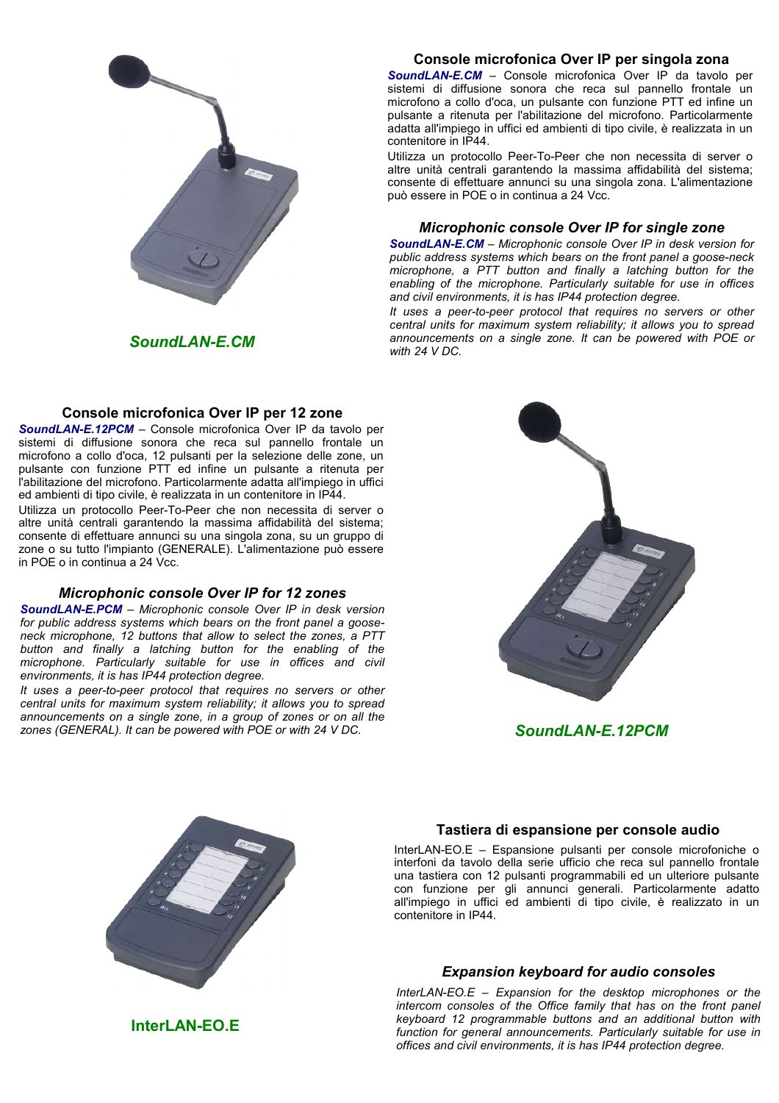

*SoundLAN-E.CM*

# **Console microfonica Over IP per 12 zone**

*SoundLAN-E.12PCM* – Console microfonica Over IP da tavolo per sistemi di diffusione sonora che reca sul pannello frontale un microfono a collo d'oca, 12 pulsanti per la selezione delle zone, un pulsante con funzione PTT ed infine un pulsante a ritenuta per l'abilitazione del microfono. Particolarmente adatta all'impiego in uffici ed ambienti di tipo civile, è realizzata in un contenitore in IP44.

Utilizza un protocollo Peer-To-Peer che non necessita di server o altre unità centrali garantendo la massima affidabilità del sistema; consente di effettuare annunci su una singola zona, su un gruppo di zone o su tutto l'impianto (GENERALE). L'alimentazione può essere in POE o in continua a 24 Vcc.

# *Microphonic console Over IP for 12 zones*

*SoundLAN-E.PCM – Microphonic console Over IP in desk version for public address systems which bears on the front panel a gooseneck microphone, 12 buttons that allow to select the zones, a PTT button and finally a latching button for the enabling of the*  microphone. Particularly suitable for use in offices and civil *environments, it is has IP44 protection degree.*

*It uses a peer-to-peer protocol that requires no servers or other central units for maximum system reliability; it allows you to spread announcements on a single zone, in a group of zones or on all the zones (GENERAL). It can be powered with POE or with 24 V DC. SoundLAN-E.12PCM*

# **Console microfonica Over IP per singola zona**

*SoundLAN-E.CM* – Console microfonica Over IP da tavolo per sistemi di diffusione sonora che reca sul pannello frontale un microfono a collo d'oca, un pulsante con funzione PTT ed infine un pulsante a ritenuta per l'abilitazione del microfono. Particolarmente adatta all'impiego in uffici ed ambienti di tipo civile, è realizzata in un contenitore in IP44.

Utilizza un protocollo Peer-To-Peer che non necessita di server o altre unità centrali garantendo la massima affidabilità del sistema; consente di effettuare annunci su una singola zona. L'alimentazione può essere in POE o in continua a 24 Vcc.

## *Microphonic console Over IP for single zone*

*SoundLAN-E.CM – Microphonic console Over IP in desk version for public address systems which bears on the front panel a goose-neck microphone, a PTT button and finally a latching button for the enabling of the microphone. Particularly suitable for use in offices and civil environments, it is has IP44 protection degree.*

*It uses a peer-to-peer protocol that requires no servers or other central units for maximum system reliability; it allows you to spread announcements on a single zone. It can be powered with POE or with 24 V DC.*





## **Tastiera di espansione per console audio**

InterLAN-EO.E – Espansione pulsanti per console microfoniche o interfoni da tavolo della serie ufficio che reca sul pannello frontale una tastiera con 12 pulsanti programmabili ed un ulteriore pulsante con funzione per gli annunci generali. Particolarmente adatto all'impiego in uffici ed ambienti di tipo civile, è realizzato in un contenitore in IP44.

# *Expansion keyboard for audio consoles*

*InterLAN-EO.E – Expansion for the desktop microphones or the intercom consoles of the Office family that has on the front panel keyboard 12 programmable buttons and an additional button with function for general announcements. Particularly suitable for use in offices and civil environments, it is has IP44 protection degree.*

**InterLAN-EO.E**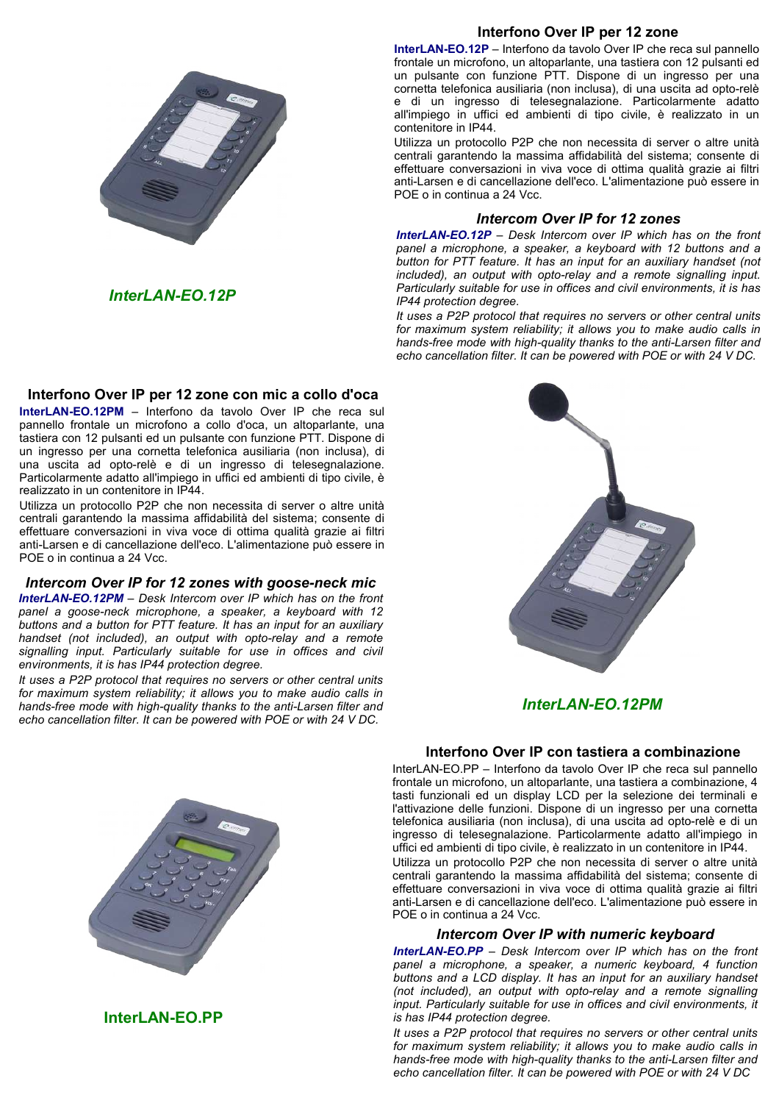

# *InterLAN-EO.12P*

# **Interfono Over IP per 12 zone con mic a collo d'oca**

**InterLAN-EO.12PM** – Interfono da tavolo Over IP che reca sul pannello frontale un microfono a collo d'oca, un altoparlante, una tastiera con 12 pulsanti ed un pulsante con funzione PTT. Dispone di un ingresso per una cornetta telefonica ausiliaria (non inclusa), di una uscita ad opto-relè e di un ingresso di telesegnalazione. Particolarmente adatto all'impiego in uffici ed ambienti di tipo civile, è realizzato in un contenitore in IP44.

Utilizza un protocollo P2P che non necessita di server o altre unità centrali garantendo la massima affidabilità del sistema; consente di effettuare conversazioni in viva voce di ottima qualità grazie ai filtri anti-Larsen e di cancellazione dell'eco. L'alimentazione può essere in POE o in continua a 24 Vcc.

# *Intercom Over IP for 12 zones with goose-neck mic*

*InterLAN-EO.12PM – Desk Intercom over IP which has on the front panel a goose-neck microphone, a speaker, a keyboard with 12 buttons and a button for PTT feature. It has an input for an auxiliary handset (not included), an output with opto-relay and a remote signalling input. Particularly suitable for use in offices and civil environments, it is has IP44 protection degree.*

*It uses a P2P protocol that requires no servers or other central units for maximum system reliability; it allows you to make audio calls in hands-free mode with high-quality thanks to the anti-Larsen filter and echo cancellation filter. It can be powered with POE or with 24 V DC.*



**InterLAN-EO.PP**

# **Interfono Over IP per 12 zone**

**InterLAN-EO.12P** – Interfono da tavolo Over IP che reca sul pannello frontale un microfono, un altoparlante, una tastiera con 12 pulsanti ed un pulsante con funzione PTT. Dispone di un ingresso per una cornetta telefonica ausiliaria (non inclusa), di una uscita ad opto-relè e di un ingresso di telesegnalazione. Particolarmente adatto all'impiego in uffici ed ambienti di tipo civile, è realizzato in un contenitore in IP44.

Utilizza un protocollo P2P che non necessita di server o altre unità centrali garantendo la massima affidabilità del sistema; consente di effettuare conversazioni in viva voce di ottima qualità grazie ai filtri anti-Larsen e di cancellazione dell'eco. L'alimentazione può essere in POE o in continua a 24 Vcc.

# *Intercom Over IP for 12 zones*

*InterLAN-EO.12P – Desk Intercom over IP which has on the front panel a microphone, a speaker, a keyboard with 12 buttons and a button for PTT feature. It has an input for an auxiliary handset (not included), an output with opto-relay and a remote signalling input. Particularly suitable for use in offices and civil environments, it is has IP44 protection degree.*

*It uses a P2P protocol that requires no servers or other central units for maximum system reliability; it allows you to make audio calls in hands-free mode with high-quality thanks to the anti-Larsen filter and echo cancellation filter. It can be powered with POE or with 24 V DC.*



*InterLAN-EO.12PM*

# **Interfono Over IP con tastiera a combinazione**

Interl AN-FO.PP – Interfono da tavolo Over IP che reca sul pannello frontale un microfono, un altoparlante, una tastiera a combinazione, 4 tasti funzionali ed un display LCD per la selezione dei terminali e l'attivazione delle funzioni. Dispone di un ingresso per una cornetta telefonica ausiliaria (non inclusa), di una uscita ad opto-relè e di un ingresso di telesegnalazione. Particolarmente adatto all'impiego in uffici ed ambienti di tipo civile, è realizzato in un contenitore in IP44.

Utilizza un protocollo P2P che non necessita di server o altre unità centrali garantendo la massima affidabilità del sistema; consente di effettuare conversazioni in viva voce di ottima qualità grazie ai filtri anti-Larsen e di cancellazione dell'eco. L'alimentazione può essere in POE o in continua a 24 Vcc.

# *Intercom Over IP with numeric keyboard*

*InterLAN-EO.PP – Desk Intercom over IP which has on the front panel a microphone, a speaker, a numeric keyboard, 4 function buttons and a LCD display. It has an input for an auxiliary handset (not included), an output with opto-relay and a remote signalling input. Particularly suitable for use in offices and civil environments, it is has IP44 protection degree.*

*It uses a P2P protocol that requires no servers or other central units for maximum system reliability; it allows you to make audio calls in hands-free mode with high-quality thanks to the anti-Larsen filter and echo cancellation filter. It can be powered with POE or with 24 V DC*